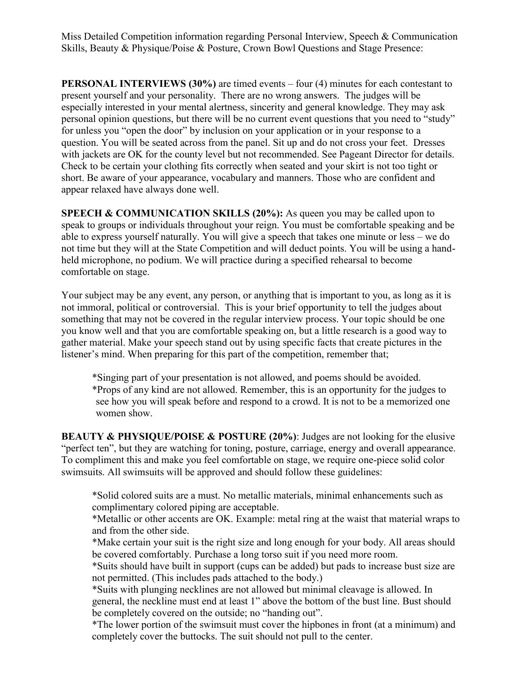Miss Detailed Competition information regarding Personal Interview, Speech & Communication Skills, Beauty & Physique/Poise & Posture, Crown Bowl Questions and Stage Presence:

**PERSONAL INTERVIEWS (30%)** are timed events – four (4) minutes for each contestant to present yourself and your personality. There are no wrong answers. The judges will be especially interested in your mental alertness, sincerity and general knowledge. They may ask personal opinion questions, but there will be no current event questions that you need to "study" for unless you "open the door" by inclusion on your application or in your response to a question. You will be seated across from the panel. Sit up and do not cross your feet. Dresses with jackets are OK for the county level but not recommended. See Pageant Director for details. Check to be certain your clothing fits correctly when seated and your skirt is not too tight or short. Be aware of your appearance, vocabulary and manners. Those who are confident and appear relaxed have always done well.

**SPEECH & COMMUNICATION SKILLS (20%):** As queen you may be called upon to speak to groups or individuals throughout your reign. You must be comfortable speaking and be able to express yourself naturally. You will give a speech that takes one minute or less – we do not time but they will at the State Competition and will deduct points. You will be using a handheld microphone, no podium. We will practice during a specified rehearsal to become comfortable on stage.

Your subject may be any event, any person, or anything that is important to you, as long as it is not immoral, political or controversial. This is your brief opportunity to tell the judges about something that may not be covered in the regular interview process. Your topic should be one you know well and that you are comfortable speaking on, but a little research is a good way to gather material. Make your speech stand out by using specific facts that create pictures in the listener's mind. When preparing for this part of the competition, remember that;

\*Singing part of your presentation is not allowed, and poems should be avoided. \*Props of any kind are not allowed. Remember, this is an opportunity for the judges to see how you will speak before and respond to a crowd. It is not to be a memorized one women show.

**BEAUTY & PHYSIQUE/POISE & POSTURE (20%)**: Judges are not looking for the elusive "perfect ten", but they are watching for toning, posture, carriage, energy and overall appearance. To compliment this and make you feel comfortable on stage, we require one-piece solid color swimsuits. All swimsuits will be approved and should follow these guidelines:

\*Solid colored suits are a must. No metallic materials, minimal enhancements such as complimentary colored piping are acceptable.

\*Metallic or other accents are OK. Example: metal ring at the waist that material wraps to and from the other side.

\*Make certain your suit is the right size and long enough for your body. All areas should be covered comfortably. Purchase a long torso suit if you need more room.

\*Suits should have built in support (cups can be added) but pads to increase bust size are not permitted. (This includes pads attached to the body.)

\*Suits with plunging necklines are not allowed but minimal cleavage is allowed. In general, the neckline must end at least 1" above the bottom of the bust line. Bust should be completely covered on the outside; no "handing out".

\*The lower portion of the swimsuit must cover the hipbones in front (at a minimum) and completely cover the buttocks. The suit should not pull to the center.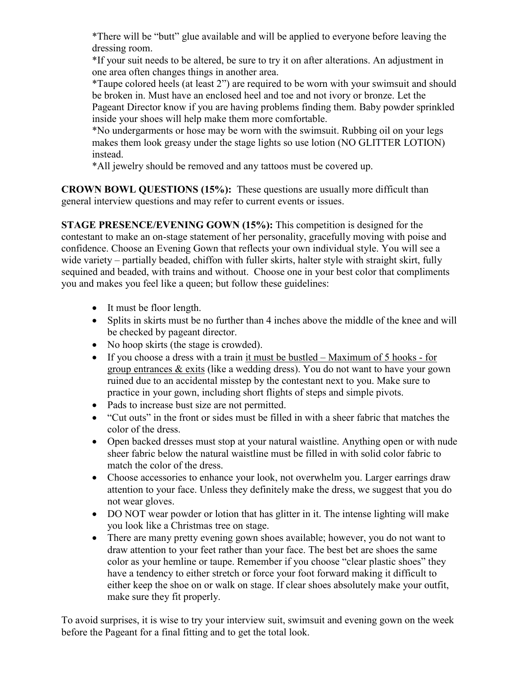\*There will be "butt" glue available and will be applied to everyone before leaving the dressing room.

\*If your suit needs to be altered, be sure to try it on after alterations. An adjustment in one area often changes things in another area.

\*Taupe colored heels (at least 2") are required to be worn with your swimsuit and should be broken in. Must have an enclosed heel and toe and not ivory or bronze. Let the Pageant Director know if you are having problems finding them. Baby powder sprinkled inside your shoes will help make them more comfortable.

\*No undergarments or hose may be worn with the swimsuit. Rubbing oil on your legs makes them look greasy under the stage lights so use lotion (NO GLITTER LOTION) instead.

\*All jewelry should be removed and any tattoos must be covered up.

**CROWN BOWL QUESTIONS (15%):** These questions are usually more difficult than general interview questions and may refer to current events or issues.

**STAGE PRESENCE/EVENING GOWN (15%):** This competition is designed for the contestant to make an on-stage statement of her personality, gracefully moving with poise and confidence. Choose an Evening Gown that reflects your own individual style. You will see a wide variety – partially beaded, chiffon with fuller skirts, halter style with straight skirt, fully sequined and beaded, with trains and without. Choose one in your best color that compliments you and makes you feel like a queen; but follow these guidelines:

- It must be floor length.
- Splits in skirts must be no further than 4 inches above the middle of the knee and will be checked by pageant director.
- No hoop skirts (the stage is crowded).
- If you choose a dress with a train it must be bustled Maximum of 5 hooks for group entrances & exits (like a wedding dress). You do not want to have your gown ruined due to an accidental misstep by the contestant next to you. Make sure to practice in your gown, including short flights of steps and simple pivots.
- Pads to increase bust size are not permitted.
- "Cut outs" in the front or sides must be filled in with a sheer fabric that matches the color of the dress.
- Open backed dresses must stop at your natural waistline. Anything open or with nude sheer fabric below the natural waistline must be filled in with solid color fabric to match the color of the dress.
- Choose accessories to enhance your look, not overwhelm you. Larger earrings draw attention to your face. Unless they definitely make the dress, we suggest that you do not wear gloves.
- DO NOT wear powder or lotion that has glitter in it. The intense lighting will make you look like a Christmas tree on stage.
- There are many pretty evening gown shoes available; however, you do not want to draw attention to your feet rather than your face. The best bet are shoes the same color as your hemline or taupe. Remember if you choose "clear plastic shoes" they have a tendency to either stretch or force your foot forward making it difficult to either keep the shoe on or walk on stage. If clear shoes absolutely make your outfit, make sure they fit properly.

To avoid surprises, it is wise to try your interview suit, swimsuit and evening gown on the week before the Pageant for a final fitting and to get the total look.